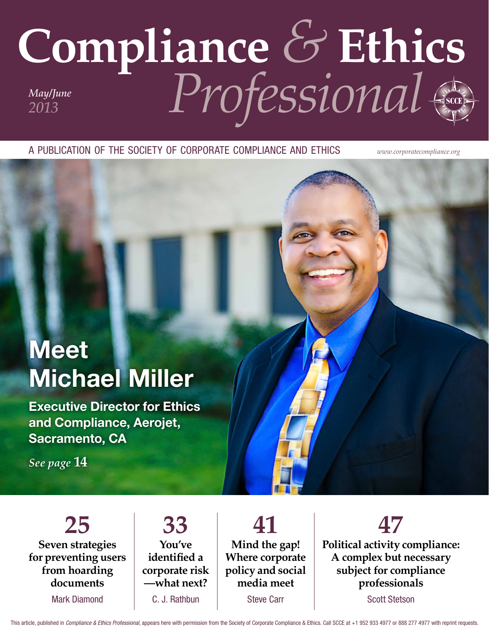## **Compliance** *&* **Ethics** *Professional May/June 2013*

a publication of the society of corporate compliance and ethics *www.corporatecompliance.org*

## **Meet** Michael Miller

Executive Director for Ethics and Compliance, Aerojet, Sacramento, CA

*See page* **14**

**25 Seven strategies for preventing users from hoarding documents**

Mark Diamond

**33 You've identified a corporate risk —what next?** C. J. Rathbun

**41 Mind the gap! Where corporate policy and social media meet** Steve Carr

**47**

**Political activity compliance: A complex but necessary subject for compliance professionals**

Scott Stetson